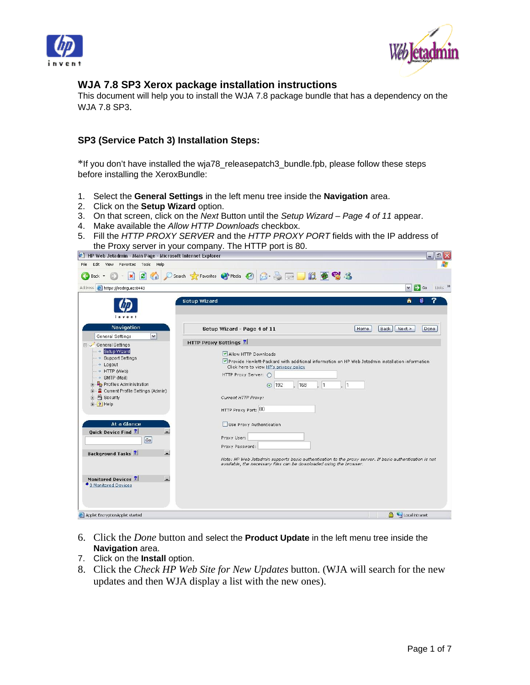



## **WJA 7.8 SP3 Xerox package installation instructions**

This document will help you to install the WJA 7.8 package bundle that has a dependency on the WJA 7.8 SP3.

## **SP3 (Service Patch 3) Installation Steps:**

\*If you don't have installed the wja78\_releasepatch3\_bundle.fpb, please follow these steps before installing the XeroxBundle:

- 1. Select the **General Settings** in the left menu tree inside the **Navigation** area.
- 2. Click on the **Setup Wizard** option.
- 3. On that screen, click on the *Next* Button until the *Setup Wizard Page 4 of 11* appear.
- 4. Make available the *Allow HTTP Downloads* checkbox.
- 5. Fill the *HTTP PROXY SERVER* and the *HTTP PROXY PORT* fields with the IP address of the Proxy server in your company. The HTTP port is 80.  $\mathcal{X} = \mathcal{X} \times \mathcal{X}$

| ↓ Fi⊬ web Jetadmin - Main Page - Microsoft Internet Explorer |                                                                                                                                                                                | $-1$                                         |
|--------------------------------------------------------------|--------------------------------------------------------------------------------------------------------------------------------------------------------------------------------|----------------------------------------------|
| View Favorites Tools<br>Help<br>File<br>Edit                 |                                                                                                                                                                                |                                              |
| Back -                                                       | <b>8 &amp; BDK \$ 8 %</b><br>Search Serverites Commedia Com                                                                                                                    |                                              |
| Address <b>B</b> https://irodriguez:8443                     |                                                                                                                                                                                | $\Rightarrow$ Go<br>Links >><br>$\checkmark$ |
| invent                                                       | <b>Setup Wizard</b>                                                                                                                                                            |                                              |
| <b>Navigation</b><br>$\checkmark$<br>General Settings        | Setup Wizard - Page 4 of 11<br>Home<br>Back                                                                                                                                    | Next ><br>Done                               |
| General Settings                                             | <b>HTTP Proxy Settings ?</b>                                                                                                                                                   |                                              |
| Setup Wizard                                                 | Allow HTTP Downloads                                                                                                                                                           |                                              |
| → Support Settings<br>$\rightarrow$ Logout                   | Provide Hewlett-Packard with additional information on HP Web Jetadmin installation information<br>Click here to view HP's privacy policy                                      |                                              |
| → HTTP (Web)                                                 | HTTP Proxy Server: O                                                                                                                                                           |                                              |
| $\rightarrow$ SMTP (Mail)<br>Profiles Administration         | 168<br>$\Box$ 1<br>$\vert$ 1<br>192                                                                                                                                            |                                              |
| <b>E-8</b> Current Profile Settings (Admin)                  | $\odot$                                                                                                                                                                        |                                              |
| + Security                                                   | Current HTTP Proxy:                                                                                                                                                            |                                              |
| E ? Help                                                     | HTTP Proxy Port: 80                                                                                                                                                            |                                              |
| At a Glance                                                  | Use Proxy Authentication                                                                                                                                                       |                                              |
| <b>Quick Device Find ?</b>                                   | Proxy User:                                                                                                                                                                    |                                              |
| Go                                                           | Proxy Password:                                                                                                                                                                |                                              |
| <b>Background Tasks?</b>                                     |                                                                                                                                                                                |                                              |
|                                                              | Note: HP Web Jetadmin supports basic authentication to the proxy server. If basic authentication is not<br>available, the necessary files can be downloaded using the browser. |                                              |
| L<br>Monitored Devices ?                                     |                                                                                                                                                                                |                                              |
| ◆ 0 Monitored Devices                                        |                                                                                                                                                                                |                                              |
| Applet EncryptionApplet started                              |                                                                                                                                                                                | Local intranet                               |

- 6. Click the *Done* button and select the **Product Update** in the left menu tree inside the **Navigation** area.
- 7. Click on the **Install** option.
- 8. Click the *Check HP Web Site for New Updates* button. (WJA will search for the new updates and then WJA display a list with the new ones).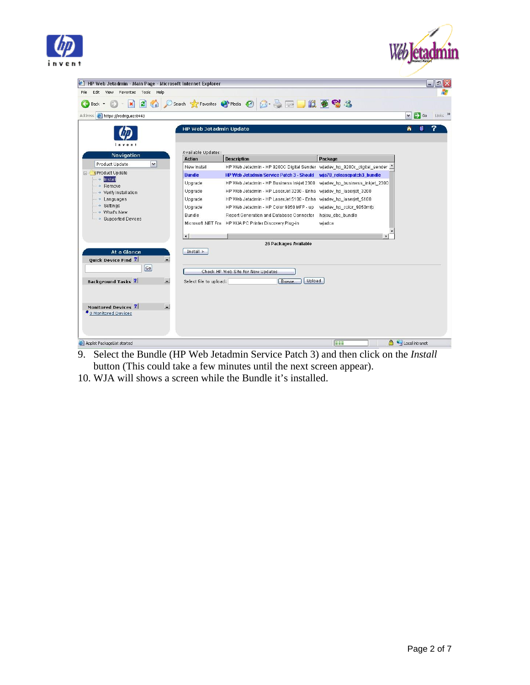



| HP Web Jetadmin - Main Page - Microsoft Internet Explorer |                                                    |                                                                              |                                | F[X]<br>$\blacksquare$                       |
|-----------------------------------------------------------|----------------------------------------------------|------------------------------------------------------------------------------|--------------------------------|----------------------------------------------|
| Favorites<br>Tools Help<br>Edit View<br>File              |                                                    |                                                                              |                                |                                              |
| $ \boldsymbol{z} $<br>Back -                              |                                                    |                                                                              |                                |                                              |
| Address <b>@</b> https://irodriquez:8443                  |                                                    |                                                                              |                                | Links >><br>$\Rightarrow$ Go<br>$\checkmark$ |
|                                                           | <b>HP Web Jetadmin Update</b>                      |                                                                              |                                | 侖                                            |
|                                                           |                                                    |                                                                              |                                |                                              |
| $i \cdot v \cdot v$                                       |                                                    |                                                                              |                                |                                              |
| <b>Navigation</b>                                         | Available Updates:                                 |                                                                              |                                |                                              |
| $\blacktriangledown$<br>Product Update                    | <b>Action</b>                                      | <b>Description</b>                                                           | Package                        |                                              |
| F-C Product Update                                        | New Install                                        | HP Web Jetadmin - HP 9200C Digital Sender - wjadev_hp_9200c_digital_sender _ |                                |                                              |
| Install                                                   | <b>Bundle</b>                                      | <b>HP Web Jetadmin Service Patch 3 - Should</b>                              | wja78_releasepatch3_bundle     |                                              |
| Remove<br>$\rightarrow$                                   | Upgrade                                            | HP Web Jetadmin - HP Business Inkjet 2300                                    | wjadev_hp_business_inkjet_2300 |                                              |
| → Verify Installation                                     | Upgrade                                            | HP Web Jetadmin - HP LaserJet 3200 - Enha                                    | wjadev_hp_laserjet_3200        |                                              |
| $\rightarrow$ Languages<br>→ Settings                     | Upgrade                                            | HP Web Jetadmin - HP LaserJet 5100 - Enha                                    | wjadev_hp_laserjet_5100        |                                              |
| → What's New                                              | Upgrade                                            | HP Web Jetadmin - HP Color 9850 MFP - up                                     | wjadev_hp_color_9850mfp        |                                              |
| $\rightarrow$ Supported Devices                           | Bundle                                             | Report Generation and Database Connector                                     | hpjau_dbc_bundle               |                                              |
|                                                           | Microsoft .NET Fra                                 | HP WJA PC Printer Discovery Plug-in                                          | wjadca                         |                                              |
|                                                           | $\overline{ }$                                     |                                                                              |                                |                                              |
|                                                           |                                                    | 26 Packages Available                                                        |                                |                                              |
| At a Glance                                               | $Install$ >                                        |                                                                              |                                |                                              |
| <b>Quick Device Find ?</b>                                |                                                    |                                                                              |                                |                                              |
| $\boxed{Go}$                                              |                                                    |                                                                              |                                |                                              |
|                                                           |                                                    | Check HP Web Site for New Updates                                            |                                |                                              |
| <b>Background Tasks?</b>                                  | $\overline{\phantom{a}}$<br>Select file to upload: | Upload<br>Browse.                                                            |                                |                                              |
|                                                           |                                                    |                                                                              |                                |                                              |
|                                                           |                                                    |                                                                              |                                |                                              |
| Monitored Devices ?                                       | цÚ.                                                |                                                                              |                                |                                              |
| ◆ 0 Monitored Devices                                     |                                                    |                                                                              |                                |                                              |
|                                                           |                                                    |                                                                              |                                |                                              |
|                                                           |                                                    |                                                                              |                                |                                              |
|                                                           |                                                    |                                                                              |                                |                                              |
| Applet PackageList started                                |                                                    |                                                                              | <b>FEE</b>                     | Local intranet                               |

- **E** Applet PackageList started<br>9. Select the Bundle (HP Web Jetadmin Service Patch 3) and then click on the *Install* button (This could take a few minutes until the next screen appear).
- 10. WJA will shows a screen while the Bundle it's installed.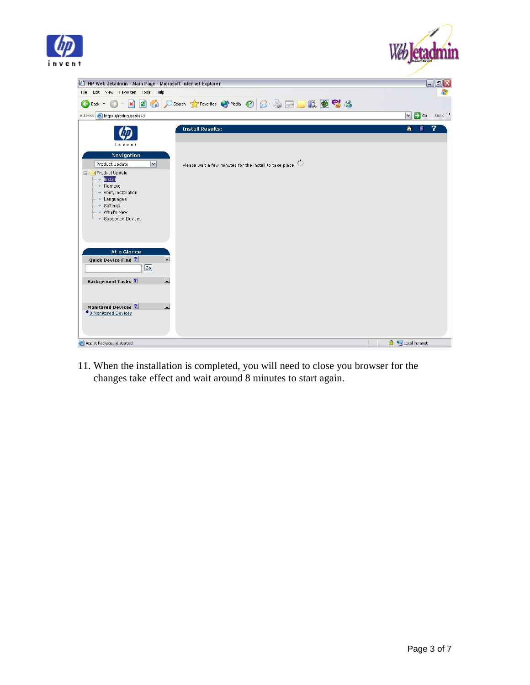



| <sup>2</sup> HP Web Jetadmin - Main Page - Microsoft Internet Explorer                                                                | $\mathbf{F} \mathbf{X}$<br>$\blacksquare$            |
|---------------------------------------------------------------------------------------------------------------------------------------|------------------------------------------------------|
| Edit View Favorites Tools Help<br>File                                                                                                |                                                      |
| ) Search <b>☆Favorites ◆Media ④ B B B D 以 B © %</b><br>$\mathbf{e}$<br>Œ<br>$\vert x \vert$<br>Back *                                 |                                                      |
| Address <b>b</b> https://irodriguez:8443                                                                                              | $\vee$ $\rightarrow$ Go<br>Links <sup>&gt;&gt;</sup> |
| <b>Install Results:</b><br>invent                                                                                                     | 7<br>侖                                               |
| Navigation<br>Please wait a few minutes for the install to take place.<br>$\overline{\mathbf{v}}$<br>Product Update<br>Froduct Update |                                                      |
| $\rightarrow$ Install<br>Remove<br>→ Verify Installation<br>$-$ + Languages                                                           |                                                      |
| → Settings<br>→ What's New<br>└ → Supported Devices                                                                                   |                                                      |
|                                                                                                                                       |                                                      |
| At a Glance<br><b>Ouick Device Find ?</b><br>£.<br>$\boxed{Go}$                                                                       |                                                      |
| $\overline{\phantom{a}}$<br><b>Background Tasks ?</b>                                                                                 |                                                      |
| ■<br>Monitored Devices ?<br>◆ 0 Monitored Devices                                                                                     |                                                      |
| <b>&amp;</b> Applet PackageList started                                                                                               | Local intranet                                       |

11. When the installation is completed, you will need to close you browser for the changes take effect and wait around 8 minutes to start again.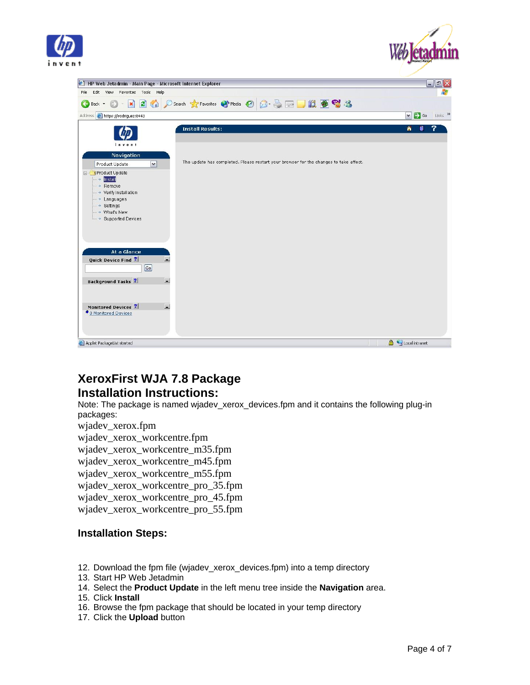



| HP Web Jetadmin - Main Page - Microsoft Internet Explorer                                                                                                                                                                                                                                                                                                               | F[X]<br>$\blacksquare$                                           |
|-------------------------------------------------------------------------------------------------------------------------------------------------------------------------------------------------------------------------------------------------------------------------------------------------------------------------------------------------------------------------|------------------------------------------------------------------|
| Edit View Favorites Tools Help<br>File                                                                                                                                                                                                                                                                                                                                  |                                                                  |
| Search ☆Favorites → Media → 日日日日日 11 8 %<br>$\mathbf{z}$<br>$\left(\mathbf{x}\right)$<br>$\bigodot$<br>Back *                                                                                                                                                                                                                                                           |                                                                  |
| Address <b>b</b> https://irodriguez:8443                                                                                                                                                                                                                                                                                                                                | $\Rightarrow$ Go<br>Links <sup>&gt;&gt;</sup><br>$\vert$ $\vert$ |
| <b>Install Results:</b><br>invent<br><b>Navigation</b><br>The update has completed. Please restart your browser for the changes to take affect.<br>$\overline{\mathbf{v}}$<br>Product Update<br>Product Update<br>$\rightarrow$ Install<br>$\rightarrow$ Remove<br>→ Verify Installation<br>$ \rightarrow$ Languages<br>→ Settings<br>→ What's New<br>Supported Devices | 7<br>侖<br>n                                                      |
| At a Glance<br><b>Quick Device Find ?</b><br>L.<br>$\boxed{Go}$<br>$\overline{\phantom{0}}$<br><b>Background Tasks ?</b>                                                                                                                                                                                                                                                |                                                                  |
| ■<br>Monitored Devices ?<br>◆ 0 Monitored Devices                                                                                                                                                                                                                                                                                                                       | Local intranet                                                   |
| Applet PackageList started                                                                                                                                                                                                                                                                                                                                              |                                                                  |

# **XeroxFirst WJA 7.8 Package Installation Instructions:**

Note: The package is named wjadev\_xerox\_devices.fpm and it contains the following plug-in packages:

wjadev\_xerox.fpm

wjadev\_xerox\_workcentre.fpm

wjadev\_xerox\_workcentre\_m35.fpm

wjadev\_xerox\_workcentre\_m45.fpm

wjadev\_xerox\_workcentre\_m55.fpm

wjadev\_xerox\_workcentre\_pro\_35.fpm

wjadev\_xerox\_workcentre\_pro\_45.fpm

wjadev\_xerox\_workcentre\_pro\_55.fpm

## **Installation Steps:**

- 12. Download the fpm file (wjadev\_xerox\_devices.fpm) into a temp directory
- 13. Start HP Web Jetadmin
- 14. Select the **Product Update** in the left menu tree inside the **Navigation** area.

15. Click **Install**

- 16. Browse the fpm package that should be located in your temp directory
- 17. Click the **Upload** button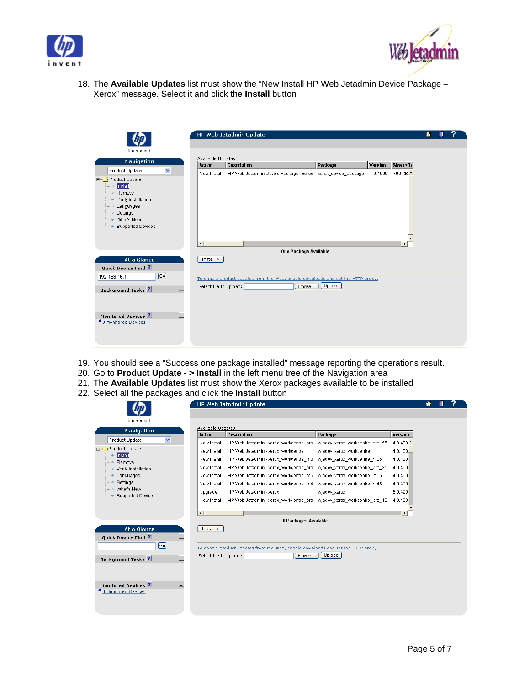



18. The **Available Updates** list must show the "New Install HP Web Jetadmin Device Package – Xerox" message. Select it and click the **Install** button

|                                                                                                                                                                                                      |                              | HP Web Jetadmin Update                                                           |         |                |                     | m |  |
|------------------------------------------------------------------------------------------------------------------------------------------------------------------------------------------------------|------------------------------|----------------------------------------------------------------------------------|---------|----------------|---------------------|---|--|
| invent                                                                                                                                                                                               |                              |                                                                                  |         |                |                     |   |  |
| Navigation                                                                                                                                                                                           | Available Updates:<br>Action | <b>Description</b>                                                               | Package | <b>Version</b> | Size (KB)           |   |  |
| $\checkmark$<br>Product Update<br>Product Update<br>— → <mark>Install</mark><br>$-$ + Remove<br>→ Verify Installation<br>— → Languages<br>- > Settings<br>- → What's New<br><b>Bupported Devices</b> |                              | New Install HP Web Jetadmin Device Package - xerox xerox_device_package 4.0.4000 |         |                | 709 KB <sup>+</sup> |   |  |
| At a Glance                                                                                                                                                                                          | Install >                    | One Package Available                                                            |         |                |                     |   |  |
| Quick Device Find ?                                                                                                                                                                                  | L.                           |                                                                                  |         |                |                     |   |  |
| $\lceil$ Go $\rceil$<br>192.168.16.1                                                                                                                                                                 |                              | To enable product updates from the Web, enable downloads and set the HTTP proxy. |         |                |                     |   |  |
| <b>Background Tasks</b> ?                                                                                                                                                                            | Select file to upload:<br>ГJ | Browse                                                                           | Upload  |                |                     |   |  |
| Monitored Devices ?                                                                                                                                                                                  | L.                           |                                                                                  |         |                |                     |   |  |
| <sup>●</sup> 0 Monitored Devices                                                                                                                                                                     |                              |                                                                                  |         |                |                     |   |  |

- 19. You should see a "Success one package installed" message reporting the operations result.
- 20. Go to **Product Update > Install** in the left menu tree of the Navigation area
- 21. The **Available Updates** list must show the Xerox packages available to be installed
- 22. Select all the packages and click the **Install** button

|                                                |                                     | HP Web Jetadmin Update                                                           |                                |                        |
|------------------------------------------------|-------------------------------------|----------------------------------------------------------------------------------|--------------------------------|------------------------|
| invent                                         |                                     |                                                                                  |                                |                        |
| <b>Navigation</b>                              | Available Updates:<br><b>Action</b> | <b>Description</b>                                                               | Package                        | Version                |
| $\checkmark$<br>Product Update                 | New Install                         | HP Web Jetadmin - xerox workcentre pro                                           | wjadev xerox workcentre pro 55 | $4.0.400$ <sup>+</sup> |
| Froduct Update                                 | New Install                         | HP Web Jetadmin - xerox workcentre                                               | wjadev_xerox_workcentre        | 4.0.400.               |
| Install                                        | New Install                         | HP Web Jetadmin - xerox_workcentre_m3                                            | wjadev xerox workcentre m35    | 4.0.400                |
| $ \rightarrow$ Remove<br>→ Verify Installation | New Install                         | HP Web Jetadmin - xerox workcentre pro                                           | wjadev xerox workcentre pro 35 | 4.0.400                |
| Languages                                      | New Install                         | HP Web Jetadmin - xerox workcentre m5                                            | wjadev_xerox_workcentre_m55    | 4.0.400                |
| $ \rightarrow$ Settings                        | New Install                         | HP Web Jetadmin - xerox_workcentre_m4                                            | wjadev_xerox_workcentre_m45    | 4.0.400                |
| - → What's New<br>- > Supported Devices        | Upgrade                             | HP Web Jetadmin - xerox                                                          | wjadev_xerox                   | 5.0.498                |
|                                                | New Install                         | HP Web Jetadmin - xerox workcentre pro wjadev xerox workcentre pro 45            |                                | 4.0.400                |
|                                                | $\left  \right $                    |                                                                                  |                                |                        |
|                                                |                                     | 8 Packages Available                                                             |                                |                        |
| At a Glance                                    | Install >                           |                                                                                  |                                |                        |
| Quick Device Find ?                            | 트                                   |                                                                                  |                                |                        |
| $\lceil$ Go $\rceil$                           |                                     | To enable product updates from the Web, enable downloads and set the HTTP proxy. |                                |                        |
|                                                | Select file to upload:              | Browse                                                                           | Upload                         |                        |
| <b>Background Tasks</b> ?                      | $\overline{\phantom{0}}$            |                                                                                  |                                |                        |
|                                                |                                     |                                                                                  |                                |                        |
|                                                |                                     |                                                                                  |                                |                        |
| Monitored Devices ?                            | $\Box$                              |                                                                                  |                                |                        |
|                                                |                                     |                                                                                  |                                |                        |
| <sup>●</sup> 0 Monitored Devices               |                                     |                                                                                  |                                |                        |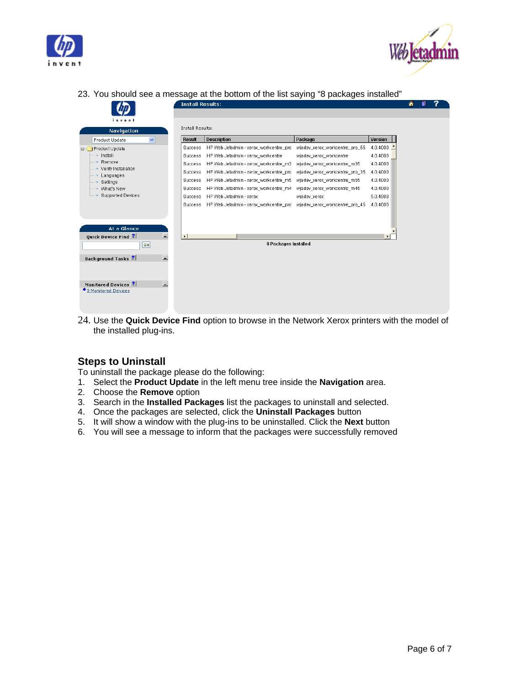



23. You should see a message at the bottom of the list saying "8 packages installed"

|                                    |    | <b>Install Results:</b> |                                                                        |                                |                | А |  |
|------------------------------------|----|-------------------------|------------------------------------------------------------------------|--------------------------------|----------------|---|--|
|                                    |    |                         |                                                                        |                                |                |   |  |
| invent                             |    | Install Results:        |                                                                        |                                |                |   |  |
| <b>Navigation</b>                  |    |                         |                                                                        |                                |                |   |  |
| $\checkmark$<br>Product Update     |    | <b>Result</b>           | <b>Description</b>                                                     | Package                        | Version        |   |  |
| Froduct Update                     |    | <b>Success</b>          | HP Web Jetadmin - xerox workcentre pro                                 | wjadev xerox workcentre pro 55 | $4.0.4000$ $-$ |   |  |
| - → Install                        |    | Success                 | HP Web Jetadmin - xerox workcentre                                     | wjadev_xerox_workcentre        | 4.0.4000       |   |  |
| $\rightarrow$ Remove               |    | Success                 | HP Web Jetadmin - xerox workcentre m3                                  | wiadev xerox workcentre m35    | 4.0.4000       |   |  |
| → Verify Installation<br>Languages |    | Success                 | HP Web Jetadmin - xerox workcentre pro                                 | wjadev_xerox_workcentre_pro_35 | 4.0.4000       |   |  |
| $\rightarrow$ Settings             |    | Success                 | HP Web Jetadmin - xerox_workcentre_m5                                  | wjadev_xerox_workcentre_m55    | 4.0.4000       |   |  |
| What's New                         |    | <b>Success</b>          | HP Web Jetadmin - xerox_workcentre_m4                                  | wjadev_xerox_workcentre_m45    | 4.0.4000       |   |  |
| <b>Supported Devices</b>           |    | <b>Success</b>          | HP Web Jetadmin - xerox                                                | wjadev_xerox                   | 5.0.4988       |   |  |
|                                    |    | <b>Success</b>          | HP Web Jetadmin - xerox_workcentre_pro _wjadev_xerox_workcentre_pro_45 |                                | 4.0.4000       |   |  |
|                                    |    |                         |                                                                        |                                |                |   |  |
|                                    |    |                         |                                                                        |                                |                |   |  |
| At a Glance                        |    |                         |                                                                        |                                |                |   |  |
| <b>Quick Device Find ?</b>         | ь. | $\leftarrow$            |                                                                        |                                |                |   |  |
| $\lbrack$ Go                       |    |                         | 8 Packages Installed                                                   |                                |                |   |  |
| <b>Background Tasks</b> ?          | L. |                         |                                                                        |                                |                |   |  |
|                                    |    |                         |                                                                        |                                |                |   |  |
|                                    |    |                         |                                                                        |                                |                |   |  |
| Monitored Devices ?                | L. |                         |                                                                        |                                |                |   |  |
| ● 0 Monitored Devices              |    |                         |                                                                        |                                |                |   |  |
|                                    |    |                         |                                                                        |                                |                |   |  |
|                                    |    |                         |                                                                        |                                |                |   |  |
|                                    |    |                         |                                                                        |                                |                |   |  |

24. Use the **Quick Device Find** option to browse in the Network Xerox printers with the model of the installed plug-ins.

## **Steps to Uninstall**

To uninstall the package please do the following:

- 1. Select the **Product Update** in the left menu tree inside the **Navigation** area.
- 2. Choose the **Remove** option
- 3. Search in the **Installed Packages** list the packages to uninstall and selected.
- 4. Once the packages are selected, click the **Uninstall Packages** button
- 5. It will show a window with the plug-ins to be uninstalled. Click the **Next** button
- 6. You will see a message to inform that the packages were successfully removed